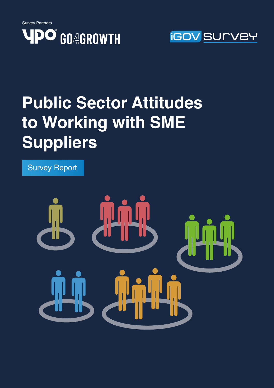



# **Public Sector Attitudes to Working with SME Suppliers**

Survey Report

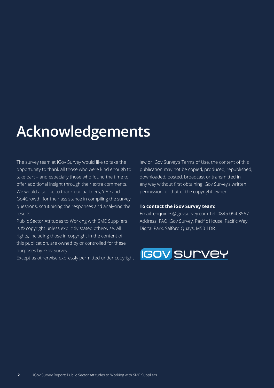# **Acknowledgements**

The survey team at iGov Survey would like to take the opportunity to thank all those who were kind enough to take part – and especially those who found the time to offer additional insight through their extra comments. We would also like to thank our partners, YPO and Go4Growth, for their assistance in compiling the survey questions, scrutinising the responses and analysing the results.

Public Sector Attitudes to Working with SME Suppliers is © copyright unless explicitly stated otherwise. All rights, including those in copyright in the content of this publication, are owned by or controlled for these purposes by iGov Survey.

Except as otherwise expressly permitted under copyright

law or iGov Survey's Terms of Use, the content of this publication may not be copied, produced, republished, downloaded, posted, broadcast or transmitted in any way without first obtaining iGov Survey's written permission, or that of the copyright owner.

#### **To contact the iGov Survey team:**

Email: enquiries@igovsurvey.com Tel: 0845 094 8567 Address: FAO iGov Survey, Pacific House, Pacific Way, Digital Park, Salford Quays, M50 1DR

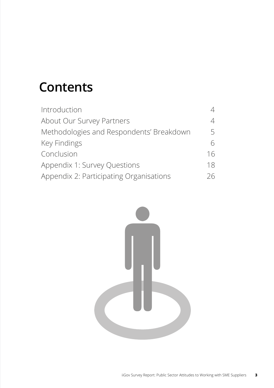# **Contents**

| Introduction                             | 4  |
|------------------------------------------|----|
| About Our Survey Partners                | 4  |
| Methodologies and Respondents' Breakdown | 5  |
| Key Findings                             | 6  |
| Conclusion                               | 16 |
| Appendix 1: Survey Questions             | 18 |
| Appendix 2: Participating Organisations  | 26 |

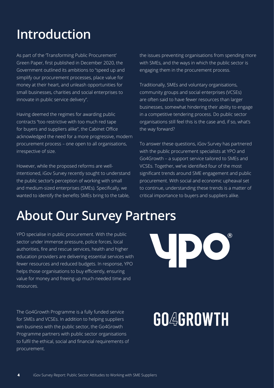# **Introduction**

As part of the 'Transforming Public Procurement' Green Paper, first published in December 2020, the Government outlined its ambitions to "speed up and simplify our procurement processes, place value for money at their heart, and unleash opportunities for small businesses, charities and social enterprises to innovate in public service delivery".

Having deemed the regimes for awarding public contracts "too restrictive with too much red tape for buyers and suppliers alike", the Cabinet Office acknowledged the need for a more progressive, modern procurement process – one open to all organisations, irrespective of size.

However, while the proposed reforms are wellintentioned, iGov Survey recently sought to understand the public sector's perception of working with small and medium-sized enterprises (SMEs). Specifically, we wanted to identify the benefits SMEs bring to the table,

the issues preventing organisations from spending more with SMEs, and the ways in which the public sector is engaging them in the procurement process.

Traditionally, SMEs and voluntary organisations, community groups and social enterprises (VCSEs) are often said to have fewer resources than larger businesses, somewhat hindering their ability to engage in a competitive tendering process. Do public sector organisations still feel this is the case and, if so, what's the way forward?

To answer these questions, iGov Survey has partnered with the public procurement specialists at YPO and Go4Growth – a support service tailored to SMEs and VCSEs. Together, we've identified four of the most significant trends around SME engagement and public procurement. With social and economic upheaval set to continue, understanding these trends is a matter of critical importance to buyers and suppliers alike.

### **About Our Survey Partners**

YPO specialise in public procurement. With the public sector under immense pressure, police forces, local authorities, fire and rescue services, health and higher education providers are delivering essential services with fewer resources and reduced budgets. In response, YPO helps those organisations to buy efficiently, ensuring value for money and freeing up much-needed time and resources.

The Go4Growth Programme is a fully funded service for SMEs and VCSEs. In addition to helping suppliers win business with the public sector, the Go4Growth Programme partners with public sector organisations to fulfil the ethical, social and financial requirements of procurement.

# **GO4GROWTH**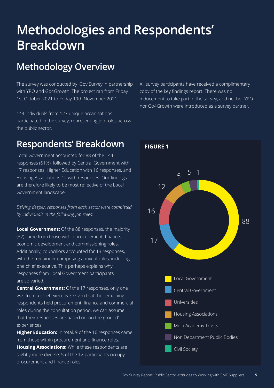# **Methodologies and Respondents' Breakdown**

#### **Methodology Overview**

The survey was conducted by iGov Survey in partnership with YPO and Go4Growth. The project ran from Friday 1st October 2021 to Friday 19th November 2021.

144 individuals from 127 unique organisations participated in the survey, representing job roles across the public sector.

#### **Respondents' Breakdown**

Local Government accounted for 88 of the 144 responses (61%), followed by Central Government with 17 responses, Higher Education with 16 responses, and Housing Associations 12 with responses. Our findings are therefore likely to be most reflective of the Local Government landscape.

*Delving deeper, responses from each sector were completed by individuals in the following job roles:*

**Local Government:** Of the 88 responses, the majority (32) came from those within procurement, finance, economic development and commissioning roles. Additionally, councillors accounted for 13 responses, with the remainder comprising a mix of roles, including one chief executive. This perhaps explains why responses from Local Government participants are so varied.

**Central Government:** Of the 17 responses, only one was from a chief executive. Given that the remaining respondents held procurement, finance and commercial roles during the consultation period, we can assume that their responses are based on 'on the ground' experiences.

**Higher Education:** In total, 9 of the 16 responses came from those within procurement and finance roles. **Housing Associations:** While these respondents are slightly more diverse, 5 of the 12 participants occupy procurement and finance roles.

All survey participants have received a complimentary copy of the key findings report. There was no inducement to take part in the survey, and neither YPO nor Go4Growth were introduced as a survey partner.

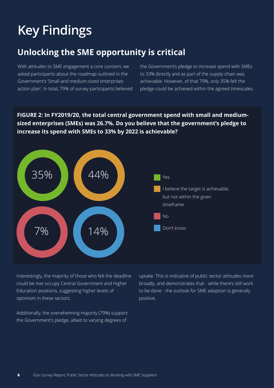# **Key Findings**

#### **Unlocking the SME opportunity is critical**

With attitudes to SME engagement a core concern, we asked participants about the roadmap outlined in the Government's 'Small and medium-sized enterprises action plan'. In total, 79% of survey participants believed the Government's pledge to increase spend with SMEs to 33% directly and as part of the supply chain was achievable. However, of that 79%, only 35% felt the pledge could be achieved within the agreed timescales.

**FIGURE 2: In FY2019/20, the total central government spend with small and mediumsized enterprises (SMEs) was 26.7%. Do you believe that the government's pledge to increase its spend with SMEs to 33% by 2022 is achievable?**



Interestingly, the majority of those who felt the deadline could be met occupy Central Government and Higher Education positions, suggesting higher levels of optimism in these sectors.

Additionally, the overwhelming majority (79%) support the Government's pledge, albeit to varying degrees of

uptake. This is indicative of public sector attitudes more broadly, and demonstrates that - while there's still work to be done - the outlook for SME adoption is generally positive.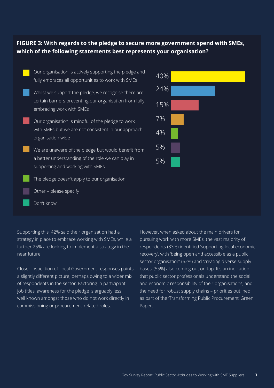#### **FIGURE 3: With regards to the pledge to secure more government spend with SMEs, which of the following statements best represents your organisation?**



Supporting this, 42% said their organisation had a strategy in place to embrace working with SMEs, while a further 25% are looking to implement a strategy in the near future.

Closer inspection of Local Government responses paints a slightly different picture, perhaps owing to a wider mix of respondents in the sector. Factoring in participant job titles, awareness for the pledge is arguably less well known amongst those who do not work directly in commissioning or procurement-related roles.

However, when asked about the main drivers for pursuing work with more SMEs, the vast majority of respondents (83%) identified 'supporting local economic recovery', with 'being open and accessible as a public sector organisation' (62%) and 'creating diverse supply bases' (55%) also coming out on top. It's an indication that public sector professionals understand the social and economic responsibility of their organisations, and the need for robust supply chains – priorities outlined as part of the 'Transforming Public Procurement' Green Paper.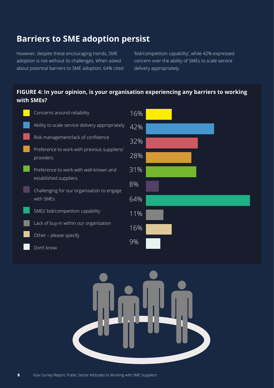#### **Barriers to SME adoption persist**

However, despite these encouraging trends, SME adoption is not without its challenges. When asked about potential barriers to SME adoption, 64% cited 'bid/competition capability', while 42% expressed concern over the ability of SMEs to scale service delivery appropriately.

#### **FIGURE 4: In your opinion, is your organisation experiencing any barriers to working with SMEs?**



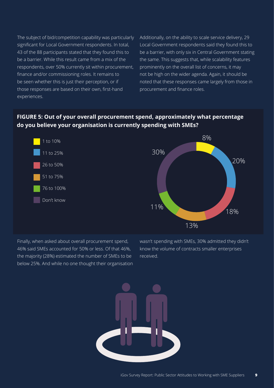The subject of bid/competition capability was particularly significant for Local Government respondents. In total, 43 of the 88 participants stated that they found this to be a barrier. While this result came from a mix of the respondents, over 50% currently sit within procurement, finance and/or commissioning roles. It remains to be seen whether this is just their perception, or if those responses are based on their own, first-hand experiences.

Additionally, on the ability to scale service delivery, 29 Local Government respondents said they found this to be a barrier, with only six in Central Government stating the same. This suggests that, while scalability features prominently on the overall list of concerns, it may not be high on the wider agenda. Again, it should be noted that these responses came largely from those in procurement and finance roles.

#### **FIGURE 5: Out of your overall procurement spend, approximately what percentage do you believe your organisation is currently spending with SMEs?**



Finally, when asked about overall procurement spend, 46% said SMEs accounted for 50% or less. Of that 46%, the majority (28%) estimated the number of SMEs to be below 25%. And while no one thought their organisation wasn't spending with SMEs, 30% admitted they didn't know the volume of contracts smaller enterprises received.

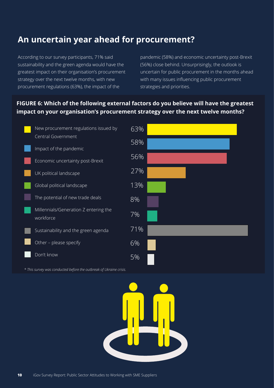#### **An uncertain year ahead for procurement?**

According to our survey participants, 71% said sustainability and the green agenda would have the greatest impact on their organisation's procurement strategy over the next twelve months, with new procurement regulations (63%), the impact of the

pandemic (58%) and economic uncertainty post-Brexit (56%) close behind. Unsurprisingly, the outlook is uncertain for public procurement in the months ahead with many issues influencing public procurement strategies and priorities.

#### **FIGURE 6: Which of the following external factors do you believe will have the greatest impact on your organisation's procurement strategy over the next twelve months?**



*\* This survey was conducted before the outbreak of Ukraine crisis.*

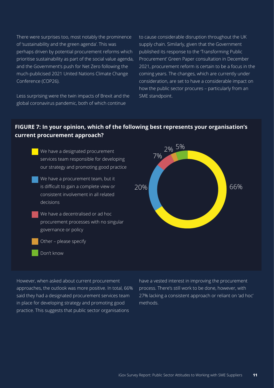There were surprises too, most notably the prominence of 'sustainability and the green agenda'. This was perhaps driven by potential procurement reforms which prioritise sustainability as part of the social value agenda, and the Government's push for Net Zero following the much-publicised 2021 United Nations Climate Change Conference (COP26).

Less surprising were the twin impacts of Brexit and the global coronavirus pandemic, both of which continue

to cause considerable disruption throughout the UK supply chain. Similarly, given that the Government published its response to the Transforming Public Procurement' Green Paper consultation in December 2021, procurement reform is certain to be a focus in the coming years. The changes, which are currently under consideration, are set to have a considerable impact on how the public sector procures – particularly from an SME standpoint.

#### **FIGURE 7: In your opinion, which of the following best represents your organisation's current procurement approach?**



However, when asked about current procurement approaches, the outlook was more positive. In total, 66% said they had a designated procurement services team in place for developing strategy and promoting good practice. This suggests that public sector organisations

have a vested interest in improving the procurement process. There's still work to be done, however, with 27% lacking a consistent approach or reliant on 'ad hoc' methods.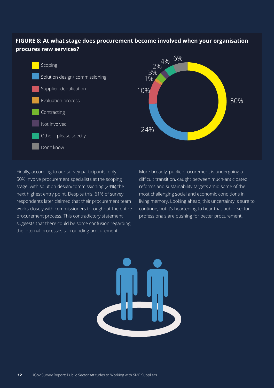#### **FIGURE 8: At what stage does procurement become involved when your organisation procures new services?**



Finally, according to our survey participants, only 50% involve procurement specialists at the scoping stage, with solution design/commissioning (24%) the next highest entry point. Despite this, 61% of survey respondents later claimed that their procurement team works closely with commissioners throughout the entire procurement process. This contradictory statement suggests that there could be some confusion regarding the internal processes surrounding procurement.

More broadly, public procurement is undergoing a difficult transition, caught between much-anticipated reforms and sustainability targets amid some of the most challenging social and economic conditions in living memory. Looking ahead, this uncertainty is sure to continue, but it's heartening to hear that public sector professionals are pushing for better procurement.

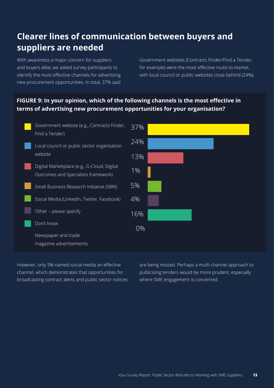#### **Clearer lines of communication between buyers and suppliers are needed**

With awareness a major concern for suppliers and buyers alike, we asked survey participants to identify the most effective channels for advertising new procurement opportunities. In total, 37% said

Government websites (Contracts Finder/Find a Tender, for example) were the most effective route to market, with local council or public websites close behind (24%).

#### **FIGURE 9: In your opinion, which of the following channels is the most effective in terms of advertising new procurement opportunities for your organisation?**



However, only 5% named social media an effective channel, which demonstrates that opportunities for broadcasting contract alerts and public sector notices

are being missed. Perhaps a multi-channel approach to publicising tenders would be more prudent, especially where SME engagement is concerned.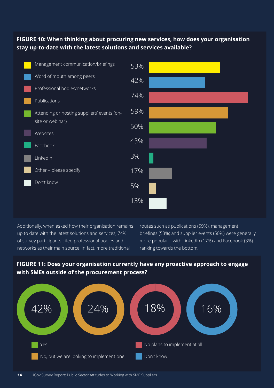#### **FIGURE 10: When thinking about procuring new services, how does your organisation stay up-to-date with the latest solutions and services available?**



Additionally, when asked how their organisation remains up to date with the latest solutions and services, 74% of survey participants cited professional bodies and networks as their main source. In fact, more traditional

Yes

routes such as publications (59%), management briefings (53%) and supplier events (50%) were generally more popular – with LinkedIn (17%) and Facebook (3%) ranking towards the bottom.

No plans to implement at all

Don't know

# 42% 18% 18% 16%





No, but we are looking to implement one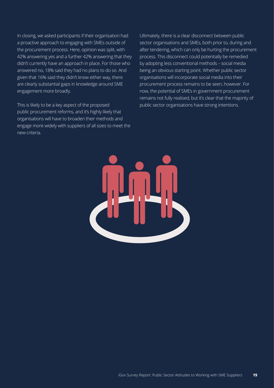In closing, we asked participants if their organisation had a proactive approach to engaging with SMEs outside of the procurement process. Here, opinion was split, with 42% answering yes and a further 42% answering that they didn't currently have an approach in place. For those who answered no, 18% said they had no plans to do so. And given that 16% said they didn't know either way, there are clearly substantial gaps in knowledge around SME engagement more broadly.

This is likely to be a key aspect of the proposed public procurement reforms, and it's highly likely that organisations will have to broaden their methods and engage more widely with suppliers of all sizes to meet the new criteria.

Ultimately, there is a clear disconnect between public sector organisations and SMEs, both prior to, during and after tendering, which can only be hurting the procurement process. This disconnect could potentially be remedied by adopting less conventional methods – social media being an obvious starting point. Whether public sector organisations will incorporate social media into their procurement process remains to be seen, however. For now, the potential of SMEs in government procurement remains not fully realised, but it's clear that the majority of public sector organisations have strong intentions.

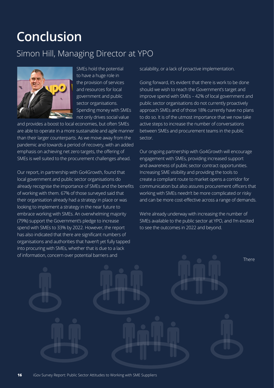## **Conclusion**

#### Simon Hill, Managing Director at YPO



SMEs hold the potential to have a huge role in the provision of services and resources for local government and public sector organisations. Spending money with SMEs not only drives social value

and provides a boost to local economies, but often SMEs are able to operate in a more sustainable and agile manner than their larger counterparts. As we move away from the pandemic and towards a period of recovery, with an added emphasis on achieving net zero targets, the offering of SMEs is well suited to the procurement challenges ahead.

Our report, in partnership with Go4Growth, found that local government and public sector organisations do already recognise the importance of SMEs and the benefits of working with them. 67% of those surveyed said that their organisation already had a strategy in place or was looking to implement a strategy in the near future to embrace working with SMEs. An overwhelming majority (79%) support the Government's pledge to increase spend with SMEs to 33% by 2022. However, the report has also indicated that there are significant numbers of organisations and authorities that haven't yet fully tapped into procuring with SMEs, whether that is due to a lack of information, concern over potential barriers and

scalability, or a lack of proactive implementation.

Going forward, it's evident that there is work to be done should we wish to reach the Government's target and improve spend with SMEs – 42% of local government and public sector organisations do not currently proactively approach SMEs and of those 18% currently have no plans to do so. It is of the utmost importance that we now take active steps to increase the number of conversations between SMEs and procurement teams in the public sector.

Our ongoing partnership with Go4Growth will encourage engagement with SMEs, providing increased support and awareness of public sector contract opportunities. Increasing SME visibility and providing the tools to create a compliant route to market opens a corridor for communication but also assures procurement officers that working with SMEs needn't be more complicated or risky and can be more cost-effective across a range of demands.

We're already underway with increasing the number of SMEs available to the public sector at YPO, and I'm excited to see the outcomes in 2022 and beyond.

There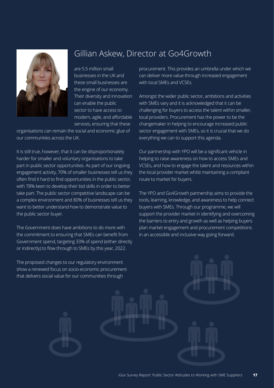

Gillian Askew, Director at Go4Growth

are 5.5 million small businesses in the UK and these small businesses are the engine of our economy. Their diversity and innovation can enable the public sector to have access to modern, agile, and affordable services, ensuring that these

organisations can remain the social and economic glue of our communities across the UK.

It is still true, however, that it can be disproportionately harder for smaller and voluntary organisations to take part in public sector opportunities. As part of our ongoing engagement activity, 70% of smaller businesses tell us they often find it hard to find opportunities in the public sector, with 78% keen to develop their bid skills in order to better take part. The public sector competitive landscape can be a complex environment and 80% of businesses tell us they want to better understand how to demonstrate value to the public sector buyer.

The Government does have ambitions to do more with the commitment to ensuring that SMEs can benefit from Government spend, targeting 33% of spend (either directly or indirectly) to flow through to SMEs by this year, 2022.

The proposed changes to our regulatory environment show a renewed focus on socio-economic procurement that delivers social value for our communities through

procurement. This provides an umbrella under which we can deliver more value through increased engagement with local SMEs and VCSEs.

Amongst the wider public sector, ambitions and activities with SMEs vary and it is acknowledged that it can be challenging for buyers to access the talent within smaller, local providers. Procurement has the power to be the changemaker in helping to encourage increased public sector engagement with SMEs, so it is crucial that we do everything we can to support this agenda.

Our partnership with YPO will be a significant vehicle in helping to raise awareness on how to access SMEs and VCSEs, and how to engage the talent and resources within the local provider market whilst maintaining a compliant route to market for buyers.

The YPO and Go4Growth partnership aims to provide the tools, learning, knowledge, and awareness to help connect buyers with SMEs. Through our programme, we will support the provider market in identifying and overcoming the barriers to entry and growth as well as helping buyers plan market engagement and procurement competitions in an accessible and inclusive way going forward.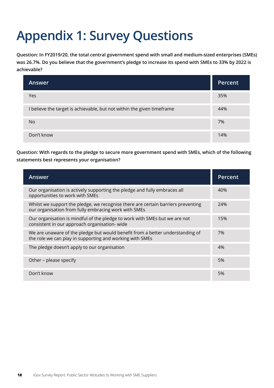# **Appendix 1: Survey Questions**

**Question: In FY2019/20, the total central government spend with small and medium-sized enterprises (SMEs) was 26.7%. Do you believe that the government's pledge to increase its spend with SMEs to 33% by 2022 is achievable?**

| <b>Answer</b>                                                          | Percent |
|------------------------------------------------------------------------|---------|
| Yes                                                                    | 35%     |
| I believe the target is achievable, but not within the given timeframe | 44%     |
| <b>No</b>                                                              | 7%      |
| Don't know                                                             | 14%     |

**Question: With regards to the pledge to secure more government spend with SMEs, which of the following statements best represents your organisation?**

| Answer                                                                                                                                    | Percent |
|-------------------------------------------------------------------------------------------------------------------------------------------|---------|
| Our organisation is actively supporting the pledge and fully embraces all<br>opportunities to work with SMEs                              | 40%     |
| Whilst we support the pledge, we recognise there are certain barriers preventing<br>our organisation from fully embracing work with SMEs  | 24%     |
| Our organisation is mindful of the pledge to work with SMEs but we are not<br>consistent in our approach organisation-wide                | 15%     |
| We are unaware of the pledge but would benefit from a better understanding of<br>the role we can play in supporting and working with SMEs | 7%      |
| The pledge doesn't apply to our organisation                                                                                              | 4%      |
| Other - please specify                                                                                                                    | 5%      |
| Don't know                                                                                                                                | 5%      |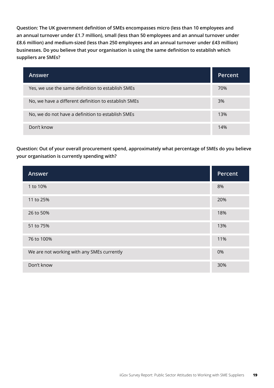**Question: The UK government definition of SMEs encompasses micro (less than 10 employees and an annual turnover under £1.7 million), small (less than 50 employees and an annual turnover under £8.6 million) and medium-sized (less than 250 employees and an annual turnover under £43 million) businesses. Do you believe that your organisation is using the same definition to establish which suppliers are SMEs?**

| Answer                                               | Percent |
|------------------------------------------------------|---------|
| Yes, we use the same definition to establish SMEs    | 70%     |
| No, we have a different definition to establish SMEs | 3%      |
| No, we do not have a definition to establish SMEs    | 13%     |
| Don't know                                           | 14%     |

**Question: Out of your overall procurement spend, approximately what percentage of SMEs do you believe your organisation is currently spending with?**

| <b>Answer</b>                              | Percent |
|--------------------------------------------|---------|
| 1 to 10%                                   | 8%      |
| 11 to 25%                                  | 20%     |
| 26 to 50%                                  | 18%     |
| 51 to 75%                                  | 13%     |
| 76 to 100%                                 | 11%     |
| We are not working with any SMEs currently | 0%      |
| Don't know                                 | 30%     |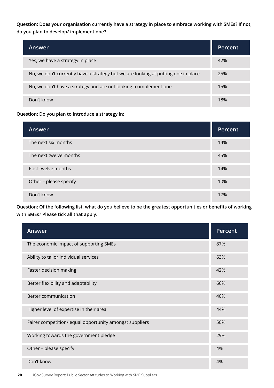**Question: Does your organisation currently have a strategy in place to embrace working with SMEs? If not, do you plan to develop/ implement one?**

| Answer                                                                            | Percent |
|-----------------------------------------------------------------------------------|---------|
| Yes, we have a strategy in place                                                  | 42%     |
| No, we don't currently have a strategy but we are looking at putting one in place | 25%     |
| No, we don't have a strategy and are not looking to implement one                 | 15%     |
| Don't know                                                                        | 18%     |

#### **Question: Do you plan to introduce a strategy in:**

| Answer                 | Percent |
|------------------------|---------|
| The next six months    | 14%     |
| The next twelve months | 45%     |
| Post twelve months     | 14%     |
| Other - please specify | 10%     |
| Don't know             | 17%     |

**Question: Of the following list, what do you believe to be the greatest opportunities or benefits of working with SMEs? Please tick all that apply.**

| <b>Answer</b>                                           | Percent |
|---------------------------------------------------------|---------|
| The economic impact of supporting SMEs                  | 87%     |
| Ability to tailor individual services                   | 63%     |
| Faster decision making                                  | 42%     |
| Better flexibility and adaptability                     | 66%     |
| <b>Better communication</b>                             | 40%     |
| Higher level of expertise in their area                 | 44%     |
| Fairer competition/ equal opportunity amongst suppliers | 50%     |
| Working towards the government pledge                   | 29%     |
| Other - please specify                                  | 4%      |
| Don't know                                              | 4%      |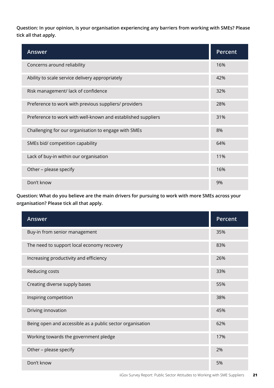**Question: In your opinion, is your organisation experiencing any barriers from working with SMEs? Please tick all that apply.**

| <b>Answer</b>                                                | Percent |
|--------------------------------------------------------------|---------|
| Concerns around reliability                                  | 16%     |
| Ability to scale service delivery appropriately              | 42%     |
| Risk management/ lack of confidence                          | 32%     |
| Preference to work with previous suppliers/ providers        | 28%     |
| Preference to work with well-known and established suppliers | 31%     |
| Challenging for our organisation to engage with SMEs         | 8%      |
| SMEs bid/ competition capability                             | 64%     |
| Lack of buy-in within our organisation                       | 11%     |
| Other - please specify                                       | 16%     |
| Don't know                                                   | 9%      |

**Question: What do you believe are the main drivers for pursuing to work with more SMEs across your organisation? Please tick all that apply.**

| Answer                                                    | Percent |
|-----------------------------------------------------------|---------|
| Buy-in from senior management                             | 35%     |
| The need to support local economy recovery                | 83%     |
| Increasing productivity and efficiency                    | 26%     |
| Reducing costs                                            | 33%     |
| Creating diverse supply bases                             | 55%     |
| Inspiring competition                                     | 38%     |
| Driving innovation                                        | 45%     |
| Being open and accessible as a public sector organisation | 62%     |
| Working towards the government pledge                     | 17%     |
| Other - please specify                                    | 2%      |
| Don't know                                                | 5%      |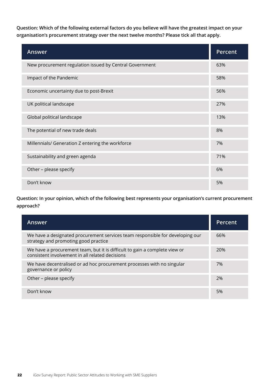**Question: Which of the following external factors do you believe will have the greatest impact on your organisation's procurement strategy over the next twelve months? Please tick all that apply.**

| Answer                                                  | Percent |
|---------------------------------------------------------|---------|
| New procurement regulation issued by Central Government | 63%     |
| Impact of the Pandemic                                  | 58%     |
| Economic uncertainty due to post-Brexit                 | 56%     |
| UK political landscape                                  | 27%     |
| Global political landscape                              | 13%     |
| The potential of new trade deals                        | 8%      |
| Millennials/ Generation Z entering the workforce        | 7%      |
| Sustainability and green agenda                         | 71%     |
| Other - please specify                                  | 6%      |
| Don't know                                              | 5%      |

**Question: In your opinion, which of the following best represents your organisation's current procurement approach?**

| <b>Answer</b>                                                                                                                 | Percent |
|-------------------------------------------------------------------------------------------------------------------------------|---------|
| We have a designated procurement services team responsible for developing our<br>strategy and promoting good practice         | 66%     |
| We have a procurement team, but it is difficult to gain a complete view or<br>consistent involvement in all related decisions | 20%     |
| We have decentralised or ad hoc procurement processes with no singular<br>governance or policy                                | 7%      |
| Other – please specify                                                                                                        | 2%      |
| Don't know                                                                                                                    | 5%      |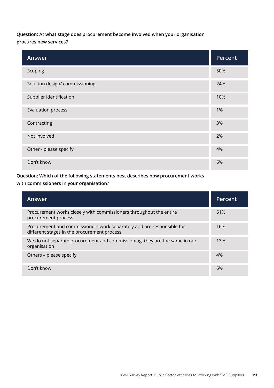#### **Question: At what stage does procurement become involved when your organisation procures new services?**

| Answer                         | Percent |
|--------------------------------|---------|
| Scoping                        | 50%     |
| Solution design/ commissioning | 24%     |
| Supplier identification        | 10%     |
| <b>Evaluation process</b>      | 1%      |
| Contracting                    | 3%      |
| Not involved                   | 2%      |
| Other - please specify         | 4%      |
| Don't know                     | 6%      |

**Question: Which of the following statements best describes how procurement works with commissioners in your organisation?**

| <b>Answer</b>                                                                                                        | Percent |
|----------------------------------------------------------------------------------------------------------------------|---------|
| Procurement works closely with commissioners throughout the entire<br>procurement process                            | 61%     |
| Procurement and commissioners work separately and are responsible for<br>different stages in the procurement process | 16%     |
| We do not separate procurement and commissioning, they are the same in our<br>organisation                           | 13%     |
| Others - please specify                                                                                              | 4%      |
| Don't know                                                                                                           | 6%      |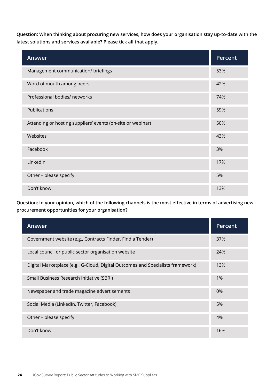**Question: When thinking about procuring new services, how does your organisation stay up-to-date with the latest solutions and services available? Please tick all that apply.**

| Answer                                                      | Percent |
|-------------------------------------------------------------|---------|
| Management communication/ briefings                         | 53%     |
| Word of mouth among peers                                   | 42%     |
| Professional bodies/ networks                               | 74%     |
| Publications                                                | 59%     |
| Attending or hosting suppliers' events (on-site or webinar) | 50%     |
| Websites                                                    | 43%     |
| Facebook                                                    | 3%      |
| LinkedIn                                                    | 17%     |
| Other - please specify                                      | 5%      |
| Don't know                                                  | 13%     |

**Question: In your opinion, which of the following channels is the most effective in terms of advertising new procurement opportunities for your organisation?**

| <b>Answer</b>                                                                   | Percent |
|---------------------------------------------------------------------------------|---------|
| Government website (e.g., Contracts Finder, Find a Tender)                      | 37%     |
| Local council or public sector organisation website                             | 24%     |
| Digital Marketplace (e.g., G-Cloud, Digital Outcomes and Specialists framework) | 13%     |
| Small Business Research Initiative (SBRI)                                       | 1%      |
| Newspaper and trade magazine advertisements                                     | 0%      |
| Social Media (LinkedIn, Twitter, Facebook)                                      | 5%      |
| Other - please specify                                                          | 4%      |
| Don't know                                                                      | 16%     |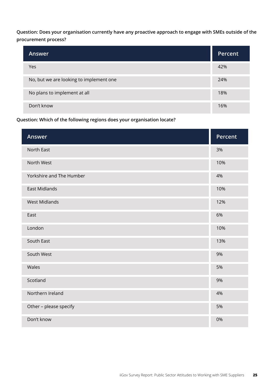**Question: Does your organisation currently have any proactive approach to engage with SMEs outside of the procurement process?**

| Answer                                  | Percent |
|-----------------------------------------|---------|
| Yes                                     | 42%     |
| No, but we are looking to implement one | 24%     |
| No plans to implement at all            | 18%     |
| Don't know                              | 16%     |

**Question: Which of the following regions does your organisation locate?**

| Answer                   | Percent |
|--------------------------|---------|
| North East               | 3%      |
| North West               | 10%     |
| Yorkshire and The Humber | 4%      |
| <b>East Midlands</b>     | 10%     |
| <b>West Midlands</b>     | 12%     |
| East                     | 6%      |
| London                   | 10%     |
| South East               | 13%     |
| South West               | 9%      |
| Wales                    | 5%      |
| Scotland                 | 9%      |
| Northern Ireland         | 4%      |
| Other - please specify   | 5%      |
| Don't know               | 0%      |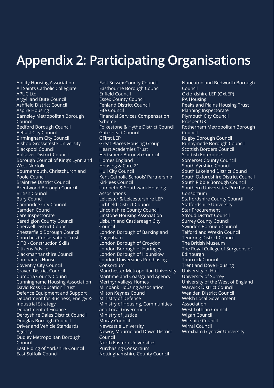## **Appendix 2: Participating Organisations**

Ability Housing Association All Saints Catholic Collegiate APUC Ltd Argyll and Bute Council Ashfield District Council Aspire Housing Barnsley Metropolitan Borough Council Bedford Borough Council Belfast City Council Birmingham City Council Bishop Grosseteste University Blackpool Council Bolsover District Council Borough Council of King's Lynn and West Norfolk Bournemouth, Christchurch and Poole Council Braintree District Council Brentwood Borough Council British Council Bury Council Cambridge City Council Camden Council Care Inspectorate Ceredigion County Council Cherwell District Council Chesterfield Borough Council Churches Conservation Trust CITB - Construction Skills Citizens Advice Clackmannanshire Council Companies House Coventry City Council Craven District Council Cumbria County Council Cunninghame Housing Association David Ross Education Trust Defence Equipment and Support Department for Business, Energy & Industrial Strategy Department of Finance Derbyshire Dales District Council Douglas Borough Council Driver and Vehicle Standards Agency Dudley Metropolitan Borough Council East Riding of Yorkshire Council East Suffolk Council

East Sussex County Council Eastbourne Borough Council Enfield Council Essex County Council Fenland District Council Fife Council Financial Services Compensation Scheme Folkestone & Hythe District Council Gateshead Council GFirst LEP Great Places Housing Group Heart Academies Trust Hertsmere Borough Council Homes England Housing & Care 21 Hull City Council Kent Catholic Schools' Partnership Kirklees Council Lambeth & Southwark Housing Associations Leicester & Leicestershire LEP Lichfield District Council Lincolnshire County Council Linstone Housing Association Lisburn and Castlereagh City Council London Borough of Barking and Dagenham London Borough of Croydon London Borough of Haringey London Borough of Hounslow London Universities Purchasing Consortium Manchester Metropolitan University Maritime and Coastguard Agency Merthyr Valleys Homes Milnbank Housing Association Milton Keynes Council Ministry of Defence Ministry of Housing, Communities and Local Government Ministry of Justice Moray Council Newcastle University Newry, Mourne and Down District Council North Eastern Universities Purchasing Consortium Nottinghamshire County Council

Nuneaton and Bedworth Borough **Council** Oxfordshire LEP (OxLEP) PA Housing Peaks and Plains Housing Trust Planning Inspectorate Plymouth City Council Prosper UK Rotherham Metropolitan Borough Council Rugby Borough Council Runnymede Borough Council Scottish Borders Council Scottish Enterprise Somerset County Council South Ayrshire Council South Lakeland District Council South Oxfordshire District Council South Ribble Borough Council Southern Universities Purchasing Consortium Staffordshire County Council Staffordshire University Star Procurement Stroud District Council Surrey County Council Swindon Borough Council Telford and Wrekin Council Tendring District Council The British Museum The Royal College of Surgeons of Edinburgh Thurrock Council Trent and Dove Housing University of Hull University of Surrey University of the West of England Warwick District Council Wealden District Council Welsh Local Government Association West Lothian Council Wigan Council Wiltshire Council Wirral Council Wrexham Glyndŵr University